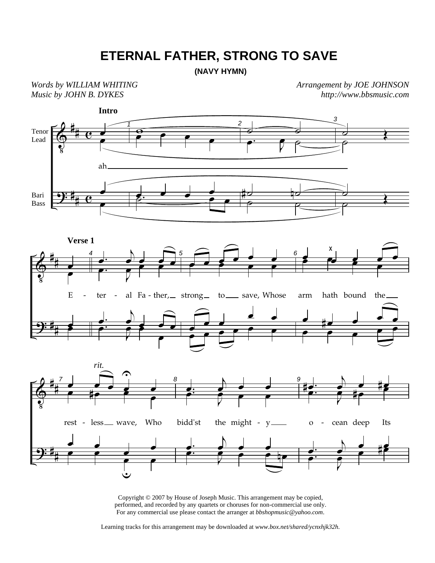## **ETERNAL FATHER, STRONG TO SAVE**

**(NAVY HYMN)**

*Words by WILLIAM WHITING Music by JOHN B. DYKES* 

*Arrangement by JOE JOHNSON http://www.bbsmusic.com*



Copyright © 2007 by House of Joseph Music. This arrangement may be copied, performed, and recorded by any quartets or choruses for non-commercial use only. For any commercial use please contact the arranger at *bbshopmusic@yahoo.com*.

Learning tracks for this arrangement may be downloaded at *www.box.net/shared/ycnxhjk32h.*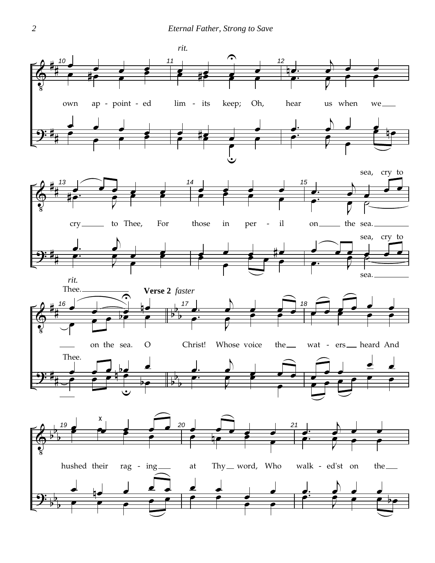